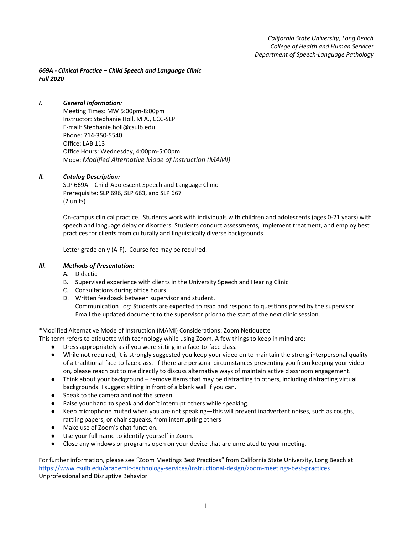*669A - Clinical Practice – Child Speech and Language Clinic Fall 2020*

# *I. General Information:*

Meeting Times: MW 5:00pm-8:00pm Instructor: Stephanie Holl, M.A., CCC-SLP E-mail: Stephanie.holl@csulb.edu Phone: 714-350-5540 Office: LAB 113 Office Hours: Wednesday, 4:00pm-5:00pm Mode: *Modified Alternative Mode of Instruction (MAMI)*

## *II. Catalog Description:*

SLP 669A – Child-Adolescent Speech and Language Clinic Prerequisite: SLP 696, SLP 663, and SLP 667 (2 units)

On-campus clinical practice. Students work with individuals with children and adolescents (ages 0-21 years) with speech and language delay or disorders. Students conduct assessments, implement treatment, and employ best practices for clients from culturally and linguistically diverse backgrounds.

Letter grade only (A-F). Course fee may be required.

## *III. Methods of Presentation:*

A. Didactic

- B. Supervised experience with clients in the University Speech and Hearing Clinic
- C. Consultations during office hours.
- D. Written feedback between supervisor and student. Communication Log: Students are expected to read and respond to questions posed by the supervisor. Email the updated document to the supervisor prior to the start of the next clinic session.

\*Modified Alternative Mode of Instruction (MAMI) Considerations: Zoom Netiquette

This term refers to etiquette with technology while using Zoom. A few things to keep in mind are:

- Dress appropriately as if you were sitting in a face-to-face class.
- While not required, it is strongly suggested you keep your video on to maintain the strong interpersonal quality of a traditional face to face class. If there are personal circumstances preventing you from keeping your video on, please reach out to me directly to discuss alternative ways of maintain active classroom engagement.
- Think about your background remove items that may be distracting to others, including distracting virtual backgrounds. I suggest sitting in front of a blank wall if you can.
- Speak to the camera and not the screen.
- Raise your hand to speak and don't interrupt others while speaking.
- Keep microphone muted when you are not speaking—this will prevent inadvertent noises, such as coughs, rattling papers, or chair squeaks, from interrupting others
- Make use of Zoom's chat function.
- Use your full name to identify yourself in Zoom.
- Close any windows or programs open on your device that are unrelated to your meeting.

For further information, please see "Zoom Meetings Best Practices" from California State University, Long Beach at <https://www.csulb.edu/academic-technology-services/instructional-design/zoom-meetings-best-practices> Unprofessional and Disruptive Behavior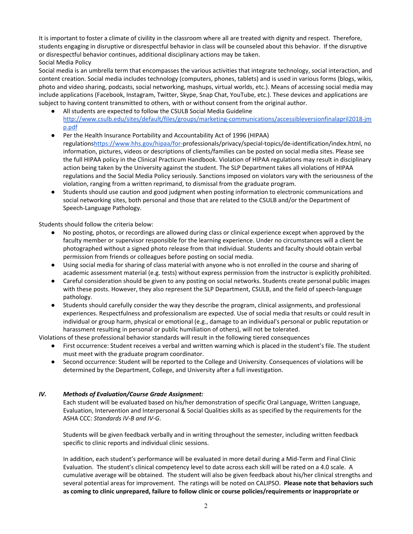It is important to foster a climate of civility in the classroom where all are treated with dignity and respect. Therefore, students engaging in disruptive or disrespectful behavior in class will be counseled about this behavior. If the disruptive or disrespectful behavior continues, additional disciplinary actions may be taken. Social Media Policy

Social media is an umbrella term that encompasses the various activities that integrate technology, social interaction, and content creation. Social media includes technology (computers, phones, tablets) and is used in various forms (blogs, wikis, photo and video sharing, podcasts, social networking, mashups, virtual worlds, etc.). Means of accessing social media may include applications (Facebook, Instagram, Twitter, Skype, Snap Chat, YouTube, etc.). These devices and applications are subject to having content transmitted to others, with or without consent from the original author.

- All students are expected to follow the CSULB Social Media Guideline [http://www.csulb.edu/sites/default/files/groups/marketing-communications/accessibleversionfinalapril2018-jm](http://www.csulb.edu/sites/default/files/groups/marketing-communications/accessibleversionfinalapril2018-jmp.pdf) [p.pdf](http://www.csulb.edu/sites/default/files/groups/marketing-communications/accessibleversionfinalapril2018-jmp.pdf)
- Per the Health Insurance Portability and Accountability Act of 1996 (HIPAA) regulations<https://www.hhs.gov/hipaa/for->professionals/privacy/special-topics/de-identification/index.html, no information, pictures, videos or descriptions of clients/families can be posted on social media sites. Please see the full HIPAA policy in the Clinical Practicum Handbook. Violation of HIPAA regulations may result in disciplinary action being taken by the University against the student. The SLP Department takes all violations of HIPAA regulations and the Social Media Policy seriously. Sanctions imposed on violators vary with the seriousness of the violation, ranging from a written reprimand, to dismissal from the graduate program.
- Students should use caution and good judgment when posting information to electronic communications and social networking sites, both personal and those that are related to the CSULB and/or the Department of Speech-Language Pathology.

Students should follow the criteria below:

- No posting, photos, or recordings are allowed during class or clinical experience except when approved by the faculty member or supervisor responsible for the learning experience. Under no circumstances will a client be photographed without a signed photo release from that individual. Students and faculty should obtain verbal permission from friends or colleagues before posting on social media.
- Using social media for sharing of class material with anyone who is not enrolled in the course and sharing of academic assessment material (e.g. tests) without express permission from the instructor is explicitly prohibited.
- Careful consideration should be given to any posting on social networks. Students create personal public images with these posts. However, they also represent the SLP Department, CSULB, and the field of speech-language pathology.
- Students should carefully consider the way they describe the program, clinical assignments, and professional experiences. Respectfulness and professionalism are expected. Use of social media that results or could result in individual or group harm, physical or emotional (e.g., damage to an individual's personal or public reputation or harassment resulting in personal or public humiliation of others), will not be tolerated.

Violations of these professional behavior standards will result in the following tiered consequences

- First occurrence: Student receives a verbal and written warning which is placed in the student's file. The student must meet with the graduate program coordinator.
- Second occurrence: Student will be reported to the College and University. Consequences of violations will be determined by the Department, College, and University after a full investigation.

# *IV. Methods of Evaluation/Course Grade Assignment:*

Each student will be evaluated based on his/her demonstration of specific Oral Language, Written Language, Evaluation, Intervention and Interpersonal & Social Qualities skills as as specified by the requirements for the ASHA CCC: *Standards IV-B and IV-G*.

Students will be given feedback verbally and in writing throughout the semester, including written feedback specific to clinic reports and individual clinic sessions.

In addition, each student's performance will be evaluated in more detail during a Mid-Term and Final Clinic Evaluation. The student's clinical competency level to date across each skill will be rated on a 4.0 scale. A cumulative average will be obtained. The student will also be given feedback about his/her clinical strengths and several potential areas for improvement. The ratings will be noted on CALIPSO. **Please note that behaviors such as coming to clinic unprepared, failure to follow clinic or course policies/requirements or inappropriate or**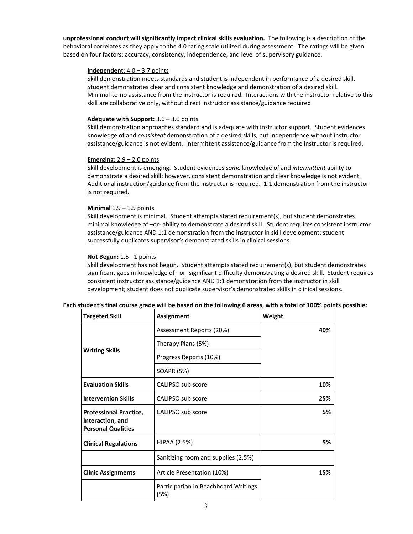**unprofessional conduct will significantly impact clinical skills evaluation.** The following is a description of the behavioral correlates as they apply to the 4.0 rating scale utilized during assessment. The ratings will be given based on four factors: accuracy, consistency, independence, and level of supervisory guidance.

### **Independent**: 4.0 – 3.7 points

Skill demonstration meets standards and student is independent in performance of a desired skill. Student demonstrates clear and consistent knowledge and demonstration of a desired skill. Minimal-to-no assistance from the instructor is required. Interactions with the instructor relative to this skill are collaborative only, without direct instructor assistance/guidance required.

### **Adequate with Support:** 3.6 – 3.0 points

Skill demonstration approaches standard and is adequate with instructor support. Student evidences knowledge of and *consistent* demonstration of a desired skills, but independence without instructor assistance/guidance is not evident. Intermittent assistance/guidance from the instructor is required.

### **Emerging:** 2.9 – 2.0 points

Skill development is emerging. Student evidences *some* knowledge of and *intermittent* ability to demonstrate a desired skill; however, consistent demonstration and clear knowledge is not evident. Additional instruction/guidance from the instructor is required. 1:1 demonstration from the instructor is not required.

### **Minimal** 1.9 – 1.5 points

Skill development is minimal. Student attempts stated requirement(s), but student demonstrates minimal knowledge of –or- ability to demonstrate a desired skill. Student requires consistent instructor assistance/guidance AND 1:1 demonstration from the instructor in skill development; student successfully duplicates supervisor's demonstrated skills in clinical sessions.

### **Not Begun:** 1.5 - 1 points

Skill development has not begun. Student attempts stated requirement(s), but student demonstrates significant gaps in knowledge of –or- significant difficulty demonstrating a desired skill. Student requires consistent instructor assistance/guidance AND 1:1 demonstration from the instructor in skill development; student does not duplicate supervisor's demonstrated skills in clinical sessions.

|  |  | Each student's final course grade will be based on the following 6 areas, with a total of 100% points possible: |
|--|--|-----------------------------------------------------------------------------------------------------------------|
|--|--|-----------------------------------------------------------------------------------------------------------------|

| <b>Targeted Skill</b>                                                          | <b>Assignment</b>                            | Weight |
|--------------------------------------------------------------------------------|----------------------------------------------|--------|
|                                                                                | Assessment Reports (20%)                     | 40%    |
|                                                                                | Therapy Plans (5%)                           |        |
| <b>Writing Skills</b>                                                          | Progress Reports (10%)                       |        |
|                                                                                | SOAPR (5%)                                   |        |
| <b>Evaluation Skills</b>                                                       | CALIPSO sub score                            | 10%    |
| <b>Intervention Skills</b>                                                     | CALIPSO sub score                            | 25%    |
| <b>Professional Practice,</b><br>Interaction, and<br><b>Personal Qualities</b> | CALIPSO sub score                            | 5%     |
| <b>Clinical Regulations</b>                                                    | HIPAA (2.5%)                                 | 5%     |
|                                                                                | Sanitizing room and supplies (2.5%)          |        |
| <b>Clinic Assignments</b>                                                      | Article Presentation (10%)                   | 15%    |
|                                                                                | Participation in Beachboard Writings<br>(5%) |        |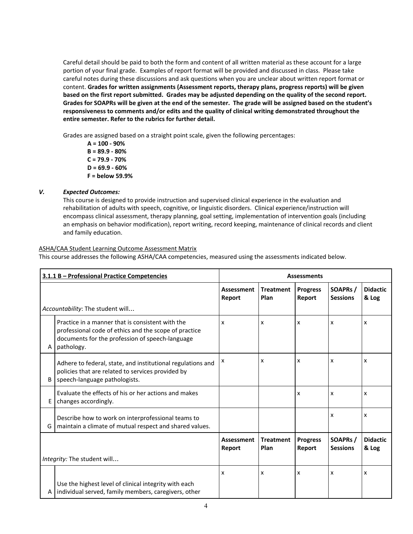Careful detail should be paid to both the form and content of all written material as these account for a large portion of your final grade. Examples of report format will be provided and discussed in class. Please take careful notes during these discussions and ask questions when you are unclear about written report format or content. **Grades for written assignments (Assessment reports, therapy plans, progress reports) will be given** based on the first report submitted. Grades may be adjusted depending on the quality of the second report. Grades for SOAPRs will be given at the end of the semester. The grade will be assigned based on the student's **responsiveness to comments and/or edits and the quality of clinical writing demonstrated throughout the entire semester. Refer to the rubrics for further detail.**

Grades are assigned based on a straight point scale, given the following percentages:

**A = 100 - 90% B = 89.9 - 80% C = 79.9 - 70% D = 69.9 - 60% F = below 59.9%**

## *V. Expected Outcomes:*

This course is designed to provide instruction and supervised clinical experience in the evaluation and rehabilitation of adults with speech, cognitive, or linguistic disorders. Clinical experience/instruction will encompass clinical assessment, therapy planning, goal setting, implementation of intervention goals (including an emphasis on behavior modification), report writing, record keeping, maintenance of clinical records and client and family education.

### ASHA/CAA Student Learning Outcome Assessment Matrix

This course addresses the following ASHA/CAA competencies, measured using the assessments indicated below.

|              | 3.1.1 B - Professional Practice Competencies                                                                                                                               |                             |                          | <b>Assessments</b>        |                                         |                          |
|--------------|----------------------------------------------------------------------------------------------------------------------------------------------------------------------------|-----------------------------|--------------------------|---------------------------|-----------------------------------------|--------------------------|
|              |                                                                                                                                                                            | <b>Assessment</b><br>Report | <b>Treatment</b><br>Plan | <b>Progress</b><br>Report | SOAPRs /<br><b>Sessions</b>             | <b>Didactic</b><br>& Log |
|              | Accountability: The student will                                                                                                                                           |                             |                          |                           |                                         |                          |
| A            | Practice in a manner that is consistent with the<br>professional code of ethics and the scope of practice<br>documents for the profession of speech-language<br>pathology. | x                           | X                        | x                         | x                                       | x                        |
| <sub>B</sub> | Adhere to federal, state, and institutional regulations and<br>policies that are related to services provided by<br>speech-language pathologists.                          | x                           | X                        | x                         | x                                       | x                        |
| E            | Evaluate the effects of his or her actions and makes<br>changes accordingly.                                                                                               |                             |                          | x                         | x                                       | x                        |
| G            | Describe how to work on interprofessional teams to<br>maintain a climate of mutual respect and shared values.                                                              |                             |                          |                           | x                                       | x                        |
|              |                                                                                                                                                                            | <b>Assessment</b><br>Report | <b>Treatment</b><br>Plan | <b>Progress</b><br>Report | SOAPR <sub>s</sub> /<br><b>Sessions</b> | <b>Didactic</b><br>& Log |
|              | Integrity: The student will                                                                                                                                                |                             |                          |                           |                                         |                          |
| A            | Use the highest level of clinical integrity with each<br>individual served, family members, caregivers, other                                                              | x                           | X                        | x                         | x                                       | x                        |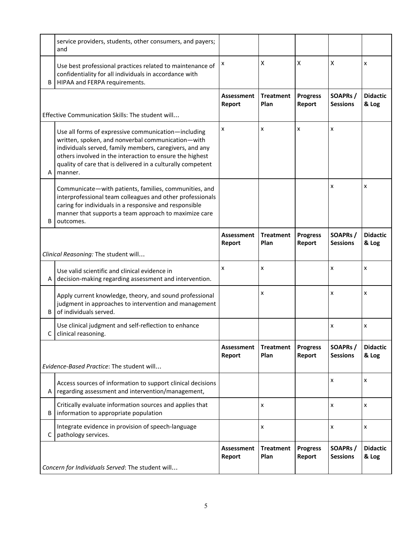|   | service providers, students, other consumers, and payers;<br>and                                                                                                                                                                                                                                          |                             |                          |                           |                            |                          |
|---|-----------------------------------------------------------------------------------------------------------------------------------------------------------------------------------------------------------------------------------------------------------------------------------------------------------|-----------------------------|--------------------------|---------------------------|----------------------------|--------------------------|
| B | Use best professional practices related to maintenance of<br>confidentiality for all individuals in accordance with<br>HIPAA and FERPA requirements.                                                                                                                                                      | х                           | X                        | X                         | X                          | x                        |
|   |                                                                                                                                                                                                                                                                                                           | <b>Assessment</b><br>Report | <b>Treatment</b><br>Plan | <b>Progress</b><br>Report | SOAPRs/<br><b>Sessions</b> | <b>Didactic</b><br>& Log |
|   | Effective Communication Skills: The student will                                                                                                                                                                                                                                                          |                             |                          |                           |                            |                          |
| A | Use all forms of expressive communication-including<br>written, spoken, and nonverbal communication-with<br>individuals served, family members, caregivers, and any<br>others involved in the interaction to ensure the highest<br>quality of care that is delivered in a culturally competent<br>manner. | x                           | x                        | x                         | x                          |                          |
| B | Communicate-with patients, families, communities, and<br>interprofessional team colleagues and other professionals<br>caring for individuals in a responsive and responsible<br>manner that supports a team approach to maximize care<br>outcomes.                                                        |                             |                          |                           | x                          | x                        |
|   |                                                                                                                                                                                                                                                                                                           | <b>Assessment</b><br>Report | <b>Treatment</b><br>Plan | <b>Progress</b><br>Report | SOAPRs/<br><b>Sessions</b> | <b>Didactic</b><br>& Log |
|   | Clinical Reasoning: The student will                                                                                                                                                                                                                                                                      |                             |                          |                           |                            |                          |
| A | Use valid scientific and clinical evidence in<br>decision-making regarding assessment and intervention.                                                                                                                                                                                                   | x                           | x                        |                           | x                          | x                        |
| B | Apply current knowledge, theory, and sound professional<br>judgment in approaches to intervention and management<br>of individuals served.                                                                                                                                                                |                             | x                        |                           | x                          | x                        |
| C | Use clinical judgment and self-reflection to enhance<br>clinical reasoning.                                                                                                                                                                                                                               |                             |                          |                           | x                          | x                        |
|   | Evidence-Based Practice: The student will                                                                                                                                                                                                                                                                 | <b>Assessment</b><br>Report | <b>Treatment</b><br>Plan | <b>Progress</b><br>Report | SOAPRs/<br><b>Sessions</b> | <b>Didactic</b><br>& Log |
| Α | Access sources of information to support clinical decisions<br>regarding assessment and intervention/management,                                                                                                                                                                                          |                             |                          |                           | x                          | x                        |
| B | Critically evaluate information sources and applies that<br>information to appropriate population                                                                                                                                                                                                         |                             | x                        |                           | x                          | x                        |
| C | Integrate evidence in provision of speech-language<br>pathology services.                                                                                                                                                                                                                                 |                             | x                        |                           | x                          | x                        |
|   |                                                                                                                                                                                                                                                                                                           | <b>Assessment</b><br>Report | <b>Treatment</b><br>Plan | <b>Progress</b><br>Report | SOAPRs/<br><b>Sessions</b> | <b>Didactic</b><br>& Log |
|   | Concern for Individuals Served: The student will                                                                                                                                                                                                                                                          |                             |                          |                           |                            |                          |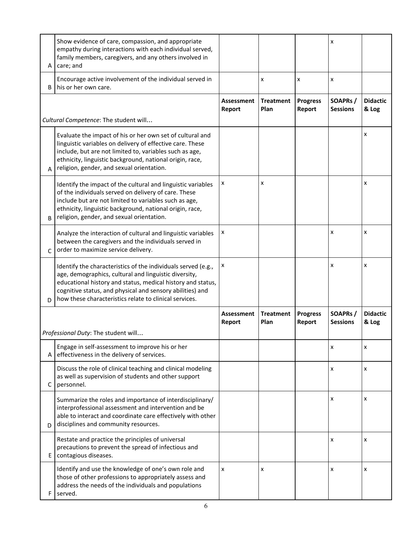| A            | Show evidence of care, compassion, and appropriate<br>empathy during interactions with each individual served,<br>family members, caregivers, and any others involved in<br>care; and                                                                                                                        |                             |                          |                           | x                           |                          |
|--------------|--------------------------------------------------------------------------------------------------------------------------------------------------------------------------------------------------------------------------------------------------------------------------------------------------------------|-----------------------------|--------------------------|---------------------------|-----------------------------|--------------------------|
| B            | Encourage active involvement of the individual served in<br>his or her own care.                                                                                                                                                                                                                             |                             | x                        | x                         | x                           |                          |
|              |                                                                                                                                                                                                                                                                                                              | <b>Assessment</b><br>Report | <b>Treatment</b><br>Plan | <b>Progress</b><br>Report | SOAPRs /<br><b>Sessions</b> | <b>Didactic</b><br>& Log |
|              | Cultural Competence: The student will                                                                                                                                                                                                                                                                        |                             |                          |                           |                             |                          |
| A            | Evaluate the impact of his or her own set of cultural and<br>linguistic variables on delivery of effective care. These<br>include, but are not limited to, variables such as age,<br>ethnicity, linguistic background, national origin, race,<br>religion, gender, and sexual orientation.                   |                             |                          |                           |                             | x                        |
| <sub>B</sub> | Identify the impact of the cultural and linguistic variables<br>of the individuals served on delivery of care. These<br>include but are not limited to variables such as age,<br>ethnicity, linguistic background, national origin, race,<br>religion, gender, and sexual orientation.                       | х                           | x                        |                           |                             | x                        |
| $\mathsf{C}$ | Analyze the interaction of cultural and linguistic variables<br>between the caregivers and the individuals served in<br>order to maximize service delivery.                                                                                                                                                  | x                           |                          |                           | x                           | x                        |
| D            | Identify the characteristics of the individuals served (e.g.,<br>age, demographics, cultural and linguistic diversity,<br>educational history and status, medical history and status,<br>cognitive status, and physical and sensory abilities) and<br>how these characteristics relate to clinical services. | x                           |                          |                           | x                           | x                        |
|              |                                                                                                                                                                                                                                                                                                              | <b>Assessment</b><br>Report | <b>Treatment</b><br>Plan | <b>Progress</b><br>Report | SOAPRs/<br><b>Sessions</b>  | <b>Didactic</b><br>& Log |
|              | Professional Duty: The student will                                                                                                                                                                                                                                                                          |                             |                          |                           |                             |                          |
| Α            | Engage in self-assessment to improve his or her<br>effectiveness in the delivery of services.                                                                                                                                                                                                                |                             |                          |                           | x                           | x                        |
| с            | Discuss the role of clinical teaching and clinical modeling<br>as well as supervision of students and other support<br>personnel.                                                                                                                                                                            |                             |                          |                           | x                           | x                        |
| D            | Summarize the roles and importance of interdisciplinary/<br>interprofessional assessment and intervention and be<br>able to interact and coordinate care effectively with other<br>disciplines and community resources.                                                                                      |                             |                          |                           | x                           | x                        |
| E            | Restate and practice the principles of universal<br>precautions to prevent the spread of infectious and<br>contagious diseases.                                                                                                                                                                              |                             |                          |                           | x                           | x                        |
| F            | Identify and use the knowledge of one's own role and<br>those of other professions to appropriately assess and<br>address the needs of the individuals and populations<br>served.                                                                                                                            | X                           | x                        |                           | x                           | x                        |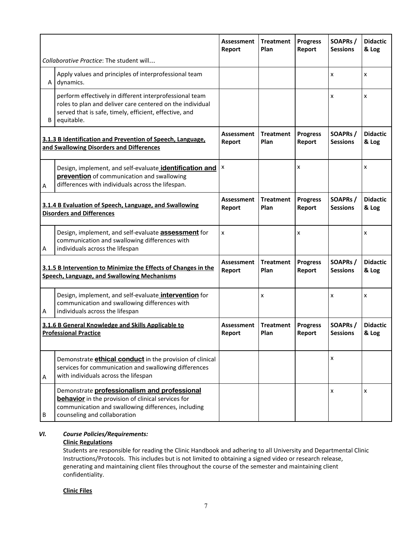|                                                                                            |                                                                                                                                                                                              | <b>Assessment</b><br>Report | <b>Treatment</b><br>Plan | <b>Progress</b><br>Report | SOAPRs /<br><b>Sessions</b> | <b>Didactic</b><br>& Log |
|--------------------------------------------------------------------------------------------|----------------------------------------------------------------------------------------------------------------------------------------------------------------------------------------------|-----------------------------|--------------------------|---------------------------|-----------------------------|--------------------------|
|                                                                                            | Collaborative Practice: The student will                                                                                                                                                     |                             |                          |                           |                             |                          |
| A                                                                                          | Apply values and principles of interprofessional team<br>dynamics.                                                                                                                           |                             |                          |                           | x                           | x                        |
| B                                                                                          | perform effectively in different interprofessional team<br>roles to plan and deliver care centered on the individual<br>served that is safe, timely, efficient, effective, and<br>equitable. |                             |                          |                           | x                           | x                        |
|                                                                                            | 3.1.3 B Identification and Prevention of Speech, Language,<br>and Swallowing Disorders and Differences                                                                                       | <b>Assessment</b><br>Report | <b>Treatment</b><br>Plan | <b>Progress</b><br>Report | SOAPRs /<br><b>Sessions</b> | <b>Didactic</b><br>& Log |
| А                                                                                          | Design, implement, and self-evaluate identification and<br>prevention of communication and swallowing<br>differences with individuals across the lifespan.                                   | x                           |                          | x                         |                             | x                        |
| 3.1.4 B Evaluation of Speech, Language, and Swallowing<br><b>Disorders and Differences</b> |                                                                                                                                                                                              | <b>Assessment</b><br>Report | <b>Treatment</b><br>Plan | <b>Progress</b><br>Report | SOAPRs/<br><b>Sessions</b>  | <b>Didactic</b><br>& Log |
| Α                                                                                          | Design, implement, and self-evaluate <b>assessment</b> for<br>communication and swallowing differences with<br>individuals across the lifespan                                               | X                           |                          | x                         |                             | x                        |
|                                                                                            | 3.1.5 B Intervention to Minimize the Effects of Changes in the<br>Speech, Language, and Swallowing Mechanisms                                                                                | <b>Assessment</b><br>Report | <b>Treatment</b><br>Plan | <b>Progress</b><br>Report | SOAPRs /<br><b>Sessions</b> | <b>Didactic</b><br>& Log |
| A                                                                                          | Design, implement, and self-evaluate <b>intervention</b> for<br>communication and swallowing differences with<br>individuals across the lifespan                                             |                             | X                        |                           | x                           | x                        |
|                                                                                            | 3.1.6 B General Knowledge and Skills Applicable to<br><b>Professional Practice</b>                                                                                                           | <b>Assessment</b><br>Report | <b>Treatment</b><br>Plan | <b>Progress</b><br>Report | SOAPRs /<br><b>Sessions</b> | <b>Didactic</b><br>& Log |
| Α                                                                                          | Demonstrate <b>ethical conduct</b> in the provision of clinical<br>services for communication and swallowing differences<br>with individuals across the lifespan                             |                             |                          |                           | X                           |                          |
| B                                                                                          | Demonstrate professionalism and professional<br>behavior in the provision of clinical services for<br>communication and swallowing differences, including<br>counseling and collaboration    |                             |                          |                           | x                           | x                        |

# *VI. Course Policies/Requirements:*

# **Clinic Regulations**

Students are responsible for reading the Clinic Handbook and adhering to all University and Departmental Clinic Instructions/Protocols. This includes but is not limited to obtaining a signed video or research release, generating and maintaining client files throughout the course of the semester and maintaining client confidentiality.

## **Clinic Files**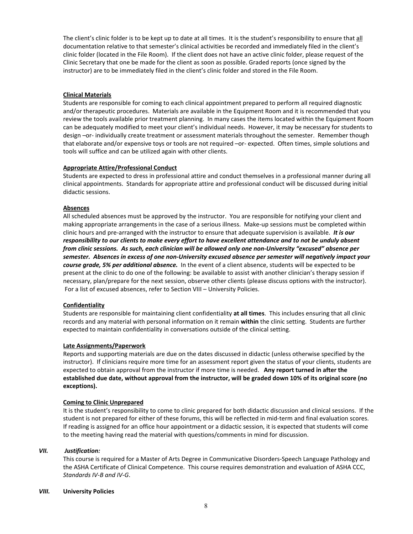The client's clinic folder is to be kept up to date at all times. It is the student's responsibility to ensure that all documentation relative to that semester's clinical activities be recorded and immediately filed in the client's clinic folder (located in the File Room). If the client does not have an active clinic folder, please request of the Clinic Secretary that one be made for the client as soon as possible. Graded reports (once signed by the instructor) are to be immediately filed in the client's clinic folder and stored in the File Room.

## **Clinical Materials**

Students are responsible for coming to each clinical appointment prepared to perform all required diagnostic and/or therapeutic procedures. Materials are available in the Equipment Room and it is recommended that you review the tools available prior treatment planning. In many cases the items located within the Equipment Room can be adequately modified to meet your client's individual needs. However, it may be necessary for students to design –or- individually create treatment or assessment materials throughout the semester. Remember though that elaborate and/or expensive toys or tools are not required –or- expected. Often times, simple solutions and tools will suffice and can be utilized again with other clients.

### **Appropriate Attire/Professional Conduct**

Students are expected to dress in professional attire and conduct themselves in a professional manner during all clinical appointments. Standards for appropriate attire and professional conduct will be discussed during initial didactic sessions.

### **Absences**

All scheduled absences must be approved by the instructor. You are responsible for notifying your client and making appropriate arrangements in the case of a serious illness. Make-up sessions must be completed within clinic hours and pre-arranged with the instructor to ensure that adequate supervision is available. *It is our* responsibility to our clients to make every effort to have excellent attendance and to not be unduly absent *from clinic sessions. As such, each clinician will be allowed only one non-University "excused" absence per semester. Absences in excess of one non-University excused absence per semester will negatively impact your course grade, 5% per additional absence.* In the event of a client absence, students will be expected to be present at the clinic to do one of the following: be available to assist with another clinician's therapy session if necessary, plan/prepare for the next session, observe other clients (please discuss options with the instructor). For a list of excused absences, refer to Section VIII – University Policies.

#### **Confidentiality**

Students are responsible for maintaining client confidentiality **at all times**. This includes ensuring that all clinic records and any material with personal information on it remain **within** the clinic setting. Students are further expected to maintain confidentiality in conversations outside of the clinical setting.

#### **Late Assignments/Paperwork**

Reports and supporting materials are due on the dates discussed in didactic (unless otherwise specified by the instructor). If clinicians require more time for an assessment report given the status of your clients, students are expected to obtain approval from the instructor if more time is needed. **Any report turned in after the** established due date, without approval from the instructor, will be graded down 10% of its original score (no **exceptions).**

#### **Coming to Clinic Unprepared**

It is the student's responsibility to come to clinic prepared for both didactic discussion and clinical sessions. If the student is not prepared for either of these forums, this will be reflected in mid-term and final evaluation scores. If reading is assigned for an office hour appointment or a didactic session, it is expected that students will come to the meeting having read the material with questions/comments in mind for discussion.

#### *VII. Justification:*

This course is required for a Master of Arts Degree in Communicative Disorders-Speech Language Pathology and the ASHA Certificate of Clinical Competence. This course requires demonstration and evaluation of ASHA CCC, *Standards IV-B and IV-G*.

#### *VIII.* **University Policies**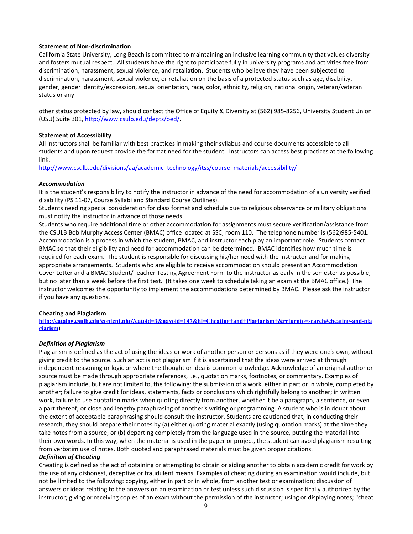### **Statement of Non-discrimination**

California State University, Long Beach is committed to maintaining an inclusive learning community that values diversity and fosters mutual respect. All students have the right to participate fully in university programs and activities free from discrimination, harassment, sexual violence, and retaliation. Students who believe they have been subjected to discrimination, harassment, sexual violence, or retaliation on the basis of a protected status such as age, disability, gender, gender identity/expression, sexual orientation, race, color, ethnicity, religion, national origin, veteran/veteran status or any

other status protected by law, should contact the Office of Equity & Diversity at (562) 985-8256, University Student Union (USU) Suite 301, <http://www.csulb.edu/depts/oed/>.

### **Statement of Accessibility**

All instructors shall be familiar with best practices in making their syllabus and course documents accessible to all students and upon request provide the format need for the student. Instructors can access best practices at the following link.

[http://www.csulb.edu/divisions/aa/academic\\_technology/itss/course\\_materials/accessibility/](http://www.csulb.edu/divisions/aa/academic_technology/itss/course_materials/accessibility/)

### *Accommodation*

It is the student's responsibility to notify the instructor in advance of the need for accommodation of a university verified disability (PS 11-07, Course Syllabi and Standard Course Outlines).

Students needing special consideration for class format and schedule due to religious observance or military obligations must notify the instructor in advance of those needs.

Students who require additional time or other accommodation for assignments must secure verification/assistance from the CSULB Bob Murphy Access Center (BMAC) office located at SSC, room 110. The telephone number is (562)985-5401. Accommodation is a process in which the student, BMAC, and instructor each play an important role. Students contact BMAC so that their eligibility and need for accommodation can be determined. BMAC identifies how much time is required for each exam. The student is responsible for discussing his/her need with the instructor and for making appropriate arrangements. Students who are eligible to receive accommodation should present an Accommodation Cover Letter and a BMAC Student/Teacher Testing Agreement Form to the instructor as early in the semester as possible, but no later than a week before the first test. (It takes one week to schedule taking an exam at the BMAC office.) The instructor welcomes the opportunity to implement the accommodations determined by BMAC. Please ask the instructor if you have any questions.

#### **Cheating and Plagiarism**

**[http://catalog.csulb.edu/content.php?catoid=3&navoid=147&hl=Cheating+and+Plagiarism+&returnto=search#cheating-and-pla](http://catalog.csulb.edu/content.php?catoid=3&navoid=147&hl=Cheating+and+Plagiarism+&returnto=search#cheating-and-plagiarism) [giarism](http://catalog.csulb.edu/content.php?catoid=3&navoid=147&hl=Cheating+and+Plagiarism+&returnto=search#cheating-and-plagiarism))**

#### *Definition of Plagiarism*

Plagiarism is defined as the act of using the ideas or work of another person or persons as if they were one's own, without giving credit to the source. Such an act is not plagiarism if it is ascertained that the ideas were arrived at through independent reasoning or logic or where the thought or idea is common knowledge. Acknowledge of an original author or source must be made through appropriate references, i.e., quotation marks, footnotes, or commentary. Examples of plagiarism include, but are not limited to, the following: the submission of a work, either in part or in whole, completed by another; failure to give credit for ideas, statements, facts or conclusions which rightfully belong to another; in written work, failure to use quotation marks when quoting directly from another, whether it be a paragraph, a sentence, or even a part thereof; or close and lengthy paraphrasing of another's writing or programming. A student who is in doubt about the extent of acceptable paraphrasing should consult the instructor. Students are cautioned that, in conducting their research, they should prepare their notes by (a) either quoting material exactly (using quotation marks) at the time they take notes from a source; or (b) departing completely from the language used in the source, putting the material into their own words. In this way, when the material is used in the paper or project, the student can avoid plagiarism resulting from verbatim use of notes. Both quoted and paraphrased materials must be given proper citations.

#### *Definition of Cheating*

Cheating is defined as the act of obtaining or attempting to obtain or aiding another to obtain academic credit for work by the use of any dishonest, deceptive or fraudulent means. Examples of cheating during an examination would include, but not be limited to the following: copying, either in part or in whole, from another test or examination; discussion of answers or ideas relating to the answers on an examination or test unless such discussion is specifically authorized by the instructor; giving or receiving copies of an exam without the permission of the instructor; using or displaying notes; "cheat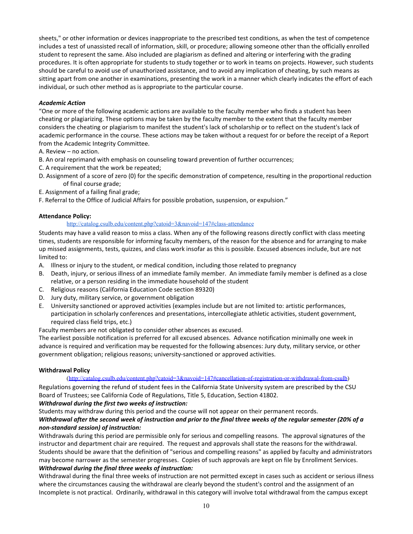sheets," or other information or devices inappropriate to the prescribed test conditions, as when the test of competence includes a test of unassisted recall of information, skill, or procedure; allowing someone other than the officially enrolled student to represent the same. Also included are plagiarism as defined and altering or interfering with the grading procedures. It is often appropriate for students to study together or to work in teams on projects. However, such students should be careful to avoid use of unauthorized assistance, and to avoid any implication of cheating, by such means as sitting apart from one another in examinations, presenting the work in a manner which clearly indicates the effort of each individual, or such other method as is appropriate to the particular course.

# *Academic Action*

"One or more of the following academic actions are available to the faculty member who finds a student has been cheating or plagiarizing. These options may be taken by the faculty member to the extent that the faculty member considers the cheating or plagiarism to manifest the student's lack of scholarship or to reflect on the student's lack of academic performance in the course. These actions may be taken without a request for or before the receipt of a Report from the Academic Integrity Committee.

A. Review – no action.

- B. An oral reprimand with emphasis on counseling toward prevention of further occurrences;
- C. A requirement that the work be repeated;
- D. Assignment of a score of zero (0) for the specific demonstration of competence, resulting in the proportional reduction of final course grade;
- E. Assignment of a failing final grade;
- F. Referral to the Office of Judicial Affairs for possible probation, suspension, or expulsion."

# **Attendance Policy:**

## <http://catalog.csulb.edu/content.php?catoid=3&navoid=147#class-attendance>

Students may have a valid reason to miss a class. When any of the following reasons directly conflict with class meeting times, students are responsible for informing faculty members, of the reason for the absence and for arranging to make up missed assignments, tests, quizzes, and class work insofar as this is possible. Excused absences include, but are not limited to:

- A. Illness or injury to the student, or medical condition, including those related to pregnancy
- B. Death, injury, or serious illness of an immediate family member. An immediate family member is defined as a close relative, or a person residing in the immediate household of the student
- C. Religious reasons (California Education Code section 89320)
- D. Jury duty, military service, or government obligation
- E. University sanctioned or approved activities (examples include but are not limited to: artistic performances, participation in scholarly conferences and presentations, intercollegiate athletic activities, student government, required class field trips, etc.)
- Faculty members are not obligated to consider other absences as excused.

The earliest possible notification is preferred for all excused absences. Advance notification minimally one week in advance is required and verification may be requested for the following absences: Jury duty, military service, or other government obligation; religious reasons; university-sanctioned or approved activities.

## **Withdrawal Policy**

## (<http://catalog.csulb.edu/content.php?catoid=3&navoid=147#cancellation-of-registration-or-withdrawal-from-csulb>)

Regulations governing the refund of student fees in the California State University system are prescribed by the CSU Board of Trustees; see California Code of Regulations, Title 5, Education, Section 41802.

## *Withdrawal during the first two weeks of instruction:*

Students may withdraw during this period and the course will not appear on their permanent records.

# Withdrawal after the second week of instruction and prior to the final three weeks of the regular semester (20% of a *non-standard session) of instruction:*

Withdrawals during this period are permissible only for serious and compelling reasons. The approval signatures of the instructor and department chair are required. The request and approvals shall state the reasons for the withdrawal. Students should be aware that the definition of "serious and compelling reasons" as applied by faculty and administrators may become narrower as the semester progresses. Copies of such approvals are kept on file by Enrollment Services. *Withdrawal during the final three weeks of instruction:*

Withdrawal during the final three weeks of instruction are not permitted except in cases such as accident or serious illness where the circumstances causing the withdrawal are clearly beyond the student's control and the assignment of an Incomplete is not practical. Ordinarily, withdrawal in this category will involve total withdrawal from the campus except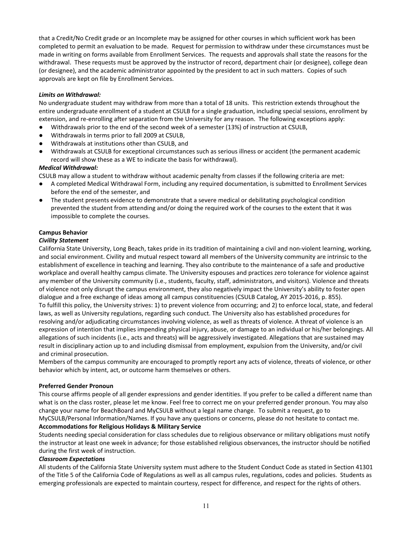that a Credit/No Credit grade or an Incomplete may be assigned for other courses in which sufficient work has been completed to permit an evaluation to be made. Request for permission to withdraw under these circumstances must be made in writing on forms available from Enrollment Services. The requests and approvals shall state the reasons for the withdrawal. These requests must be approved by the instructor of record, department chair (or designee), college dean (or designee), and the academic administrator appointed by the president to act in such matters. Copies of such approvals are kept on file by Enrollment Services.

# *Limits on Withdrawal:*

No undergraduate student may withdraw from more than a total of 18 units. This restriction extends throughout the entire undergraduate enrollment of a student at CSULB for a single graduation, including special sessions, enrollment by extension, and re-enrolling after separation from the University for any reason. The following exceptions apply:

- Withdrawals prior to the end of the second week of a semester (13%) of instruction at CSULB,
- Withdrawals in terms prior to fall 2009 at CSULB,
- Withdrawals at institutions other than CSULB, and
- Withdrawals at CSULB for exceptional circumstances such as serious illness or accident (the permanent academic record will show these as a WE to indicate the basis for withdrawal).

## *Medical Withdrawal:*

CSULB may allow a student to withdraw without academic penalty from classes if the following criteria are met:

- A completed Medical Withdrawal Form, including any required documentation, is submitted to Enrollment Services before the end of the semester, and
- The student presents evidence to demonstrate that a severe medical or debilitating psychological condition prevented the student from attending and/or doing the required work of the courses to the extent that it was impossible to complete the courses.

# **Campus Behavior**

## *Civility Statement*

California State University, Long Beach, takes pride in its tradition of maintaining a civil and non-violent learning, working, and social environment. Civility and mutual respect toward all members of the University community are intrinsic to the establishment of excellence in teaching and learning. They also contribute to the maintenance of a safe and productive workplace and overall healthy campus climate. The University espouses and practices zero tolerance for violence against any member of the University community (i.e., students, faculty, staff, administrators, and visitors). Violence and threats of violence not only disrupt the campus environment, they also negatively impact the University's ability to foster open dialogue and a free exchange of ideas among all campus constituencies (CSULB Catalog, AY 2015-2016, p. 855). To fulfill this policy, the University strives: 1) to prevent violence from occurring; and 2) to enforce local, state, and federal laws, as well as University regulations, regarding such conduct. The University also has established procedures for resolving and/or adjudicating circumstances involving violence, as well as threats of violence. A threat of violence is an expression of intention that implies impending physical injury, abuse, or damage to an individual or his/her belongings. All allegations of such incidents (i.e., acts and threats) will be aggressively investigated. Allegations that are sustained may result in disciplinary action up to and including dismissal from employment, expulsion from the University, and/or civil and criminal prosecution.

Members of the campus community are encouraged to promptly report any acts of violence, threats of violence, or other behavior which by intent, act, or outcome harm themselves or others.

## **Preferred Gender Pronoun**

This course affirms people of all gender expressions and gender identities. If you prefer to be called a different name than what is on the class roster, please let me know. Feel free to correct me on your preferred gender pronoun. You may also change your name for BeachBoard and MyCSULB without a legal name change. To submit a request, go to

#### MyCSULB/Personal Information/Names. If you have any questions or concerns, please do not hesitate to contact me. **Accommodations for Religious Holidays & Military Service**

Students needing special consideration for class schedules due to religious observance or military obligations must notify the instructor at least one week in advance; for those established religious observances, the instructor should be notified during the first week of instruction.

## *Classroom Expectations*

All students of the California State University system must adhere to the Student Conduct Code as stated in Section 41301 of the Title 5 of the California Code of Regulations as well as all campus rules, regulations, codes and policies. Students as emerging professionals are expected to maintain courtesy, respect for difference, and respect for the rights of others.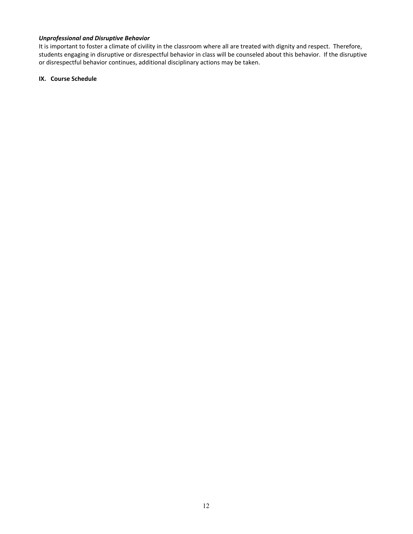# *Unprofessional and Disruptive Behavior*

It is important to foster a climate of civility in the classroom where all are treated with dignity and respect. Therefore, students engaging in disruptive or disrespectful behavior in class will be counseled about this behavior. If the disruptive or disrespectful behavior continues, additional disciplinary actions may be taken.

## **IX. Course Schedule**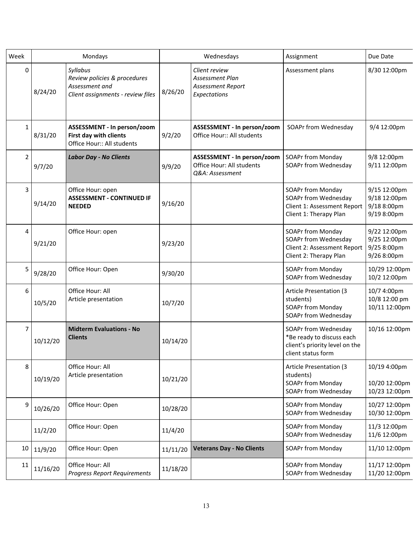| Week           | Mondays  |                                                                                                 |          | Wednesdays                                                                  | Assignment                                                                                                | Due Date                                                   |
|----------------|----------|-------------------------------------------------------------------------------------------------|----------|-----------------------------------------------------------------------------|-----------------------------------------------------------------------------------------------------------|------------------------------------------------------------|
| $\mathbf 0$    | 8/24/20  | Syllabus<br>Review policies & procedures<br>Assessment and<br>Client assignments - review files | 8/26/20  | Client review<br>Assessment Plan<br>Assessment Report<br>Expectations       | Assessment plans                                                                                          | 8/30 12:00pm                                               |
| $\mathbf{1}$   | 8/31/20  | ASSESSMENT - In person/zoom<br>First day with clients<br>Office Hour:: All students             | 9/2/20   | ASSESSMENT - In person/zoom<br>Office Hour:: All students                   | SOAPr from Wednesday                                                                                      | 9/4 12:00pm                                                |
| $\overline{2}$ | 9/7/20   | <b>Labor Day - No Clients</b>                                                                   | 9/9/20   | ASSESSMENT - In person/zoom<br>Office Hour: All students<br>Q&A: Assessment | <b>SOAPr from Monday</b><br>SOAPr from Wednesday                                                          | 9/8 12:00pm<br>9/11 12:00pm                                |
| 3              | 9/14/20  | Office Hour: open<br><b>ASSESSMENT - CONTINUED IF</b><br><b>NEEDED</b>                          | 9/16/20  |                                                                             | <b>SOAPr from Monday</b><br>SOAPr from Wednesday<br>Client 1: Assessment Report<br>Client 1: Therapy Plan | 9/15 12:00pm<br>9/18 12:00pm<br>9/18 8:00pm<br>9/19 8:00pm |
| 4              | 9/21/20  | Office Hour: open                                                                               | 9/23/20  |                                                                             | <b>SOAPr from Monday</b><br>SOAPr from Wednesday<br>Client 2: Assessment Report<br>Client 2: Therapy Plan | 9/22 12:00pm<br>9/25 12:00pm<br>9/25 8:00pm<br>9/26 8:00pm |
| 5              | 9/28/20  | Office Hour: Open                                                                               | 9/30/20  |                                                                             | SOAPr from Monday<br>SOAPr from Wednesday                                                                 | 10/29 12:00pm<br>10/2 12:00pm                              |
| 6              | 10/5/20  | Office Hour: All<br>Article presentation                                                        | 10/7/20  |                                                                             | <b>Article Presentation (3</b><br>students)<br>SOAPr from Monday<br>SOAPr from Wednesday                  | 10/7 4:00pm<br>10/8 12:00 pm<br>10/11 12:00pm              |
| 7              | 10/12/20 | <b>Midterm Evaluations - No</b><br><b>Clients</b>                                               | 10/14/20 |                                                                             | SOAPr from Wednesday<br>*Be ready to discuss each<br>client's priority level on the<br>client status form | 10/16 12:00pm                                              |
| 8              | 10/19/20 | Office Hour: All<br>Article presentation                                                        | 10/21/20 |                                                                             | <b>Article Presentation (3</b><br>students)<br>SOAPr from Monday<br>SOAPr from Wednesday                  | 10/19 4:00pm<br>10/20 12:00pm<br>10/23 12:00pm             |
| 9              | 10/26/20 | Office Hour: Open                                                                               | 10/28/20 |                                                                             | SOAPr from Monday<br>SOAPr from Wednesday                                                                 | 10/27 12:00pm<br>10/30 12:00pm                             |
|                | 11/2/20  | Office Hour: Open                                                                               | 11/4/20  |                                                                             | SOAPr from Monday<br>SOAPr from Wednesday                                                                 | 11/3 12:00pm<br>11/6 12:00pm                               |
| 10             | 11/9/20  | Office Hour: Open                                                                               | 11/11/20 | <b>Veterans Day - No Clients</b>                                            | SOAPr from Monday                                                                                         | 11/10 12:00pm                                              |
| 11             | 11/16/20 | Office Hour: All<br><b>Progress Report Requirements</b>                                         | 11/18/20 |                                                                             | SOAPr from Monday<br>SOAPr from Wednesday                                                                 | 11/17 12:00pm<br>11/20 12:00pm                             |